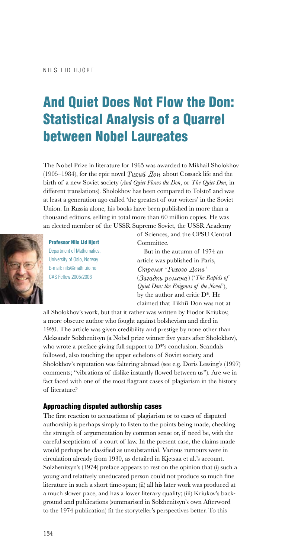The Nobel Prize in literature for 1965 was awarded to Mikhail Sholokhov (1905–1984), for the epic novel Tuxu $\breve{u}$   $\breve{u}$  about Cossack life and the birth of a new Soviet society (*And Quiet Flows the Don*, or *The Quiet Don*, in different translations). Sholokhov has been compared to Tolstoĭ and was at least a generation ago called 'the greatest of our writers' in the Soviet Union. In Russia alone, his books have been published in more than a thousand editions, selling in total more than 60 million copies. He was an elected member of the USSR Supreme Soviet, the USSR Academy



Professor Nils Lid Hjort Department of Mathematics, University of Oslo, Norway E-mail: nils@math.uio.no CAS Fellow 2005/2006

of Sciences, and the CPSU Central Committee.

But in the autumn of 1974 an article was published in Paris, Стремя 'Тихого Дона'  $(3a$ *zadku pomana*) (*'The Rapids of Quiet Don: the Enigmas of the Novel*'), by the author and critic D\*. He claimed that Tikhiı˘ Don was not at

all Sholokhov's work, but that it rather was written by Fiodor Kriukov, a more obscure author who fought against bolshevism and died in 1920. The article was given credibility and prestige by none other than Aleksandr Solzhenitsyn (a Nobel prize winner five years after Sholokhov), who wrote a preface giving full support to D<sup>\*</sup>'s conclusion. Scandals followed, also touching the upper echelons of Soviet society, and Sholokhov's reputation was faltering abroad (see e.g. Doris Lessing's (1997) comments; "vibrations of dislike instantly flowed between us"). Are we in fact faced with one of the most flagrant cases of plagiarism in the history of literature?

## Approaching disputed authorship cases

The first reaction to accusations of plagiarism or to cases of disputed authorship is perhaps simply to listen to the points being made, checking the strength of argumentation by common sense or, if need be, with the careful scepticism of a court of law. In the present case, the claims made would perhaps be classified as unsubstantial. Various rumours were in circulation already from 1930, as detailed in Kjetsaa et al.'s account. Solzhenitsyn's (1974) preface appears to rest on the opinion that (i) such a young and relatively uneducated person could not produce so much fine literature in such a short time-span; (ii) all his later work was produced at a much slower pace, and has a lower literary quality; (iii) Kriukov's background and publications (summarised in Solzhenitsyn's own Afterword to the 1974 publication) fit the storyteller's perspectives better. To this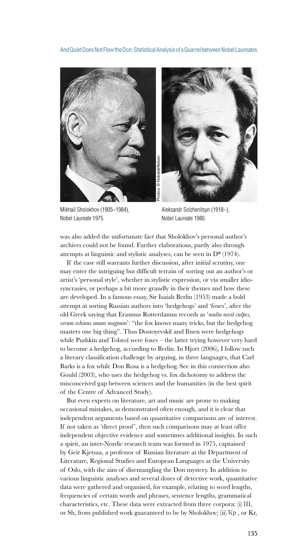

Mikhail Sholokhov (1905–1984), Nobel Laureate 1975.



Aleksandr Solzhenitsyn (1918–), Nobel Laureate 1980.

was also added the unfortunate fact that Sholokhov's personal author's archives could not be found. Further elaborations, partly also through attempts at linguistic and stylistic analyses, can be seen in D\* (1974).

If the case still warrants further discussion, after initial scrutiny, one may enter the intriguing but difficult terrain of sorting out an author's or artist's 'personal style', whether in stylistic expression, or via smaller idiosyncrasies, or perhaps a bit more grandly in their themes and how these are developed. In a famous essay, Sir Isaiah Berlin (1953) made a bold attempt at sorting Russian authors into 'hedgehogs' and 'foxes', after the old Greek saying that Erasmus Rotterdamus records as '*multa novit vulpes, verum echinus unum magnum*': "the fox knows many tricks, but the hedgehog masters one big thing". Thus Dostoyevskii and Ibsen were hedgehogs while Pushkin and Tolstoi were foxes – the latter trying however very hard to become a hedgehog, according to Berlin. In Hjort (2006), I follow such a literary classification challenge by arguing, in three languages, that Carl Barks is a fox while Don Rosa is a hedgehog. See in this connection also Gould (2003), who uses the hedgehog vs. fox dichotomy to address the misconceived gap between sciences and the humanities (in the best spirit of the Centre of Advanced Study).

But even experts on literature, art and music are prone to making occasional mistakes, as demonstrated often enough, and it is clear that independent arguments based on quantitative comparisons are of interest. If not taken as 'direct proof ', then such comparisons may at least offer independent objective evidence and sometimes additional insights. In such a spirit, an inter-Nordic research team was formed in 1975, captained by Geir Kjetsaa, a professor of Russian literature at the Department of Literature, Regional Studies and European Languages at the University of Oslo, with the aim of disentangling the Don mystery. In addition to various linguistic analyses and several doses of detective work, quantitative data were gathered and organised, for example, relating to word lengths, frequencies of certain words and phrases, sentence lengths, grammatical characteristics, etc. These data were extracted from three corpora: (i) Ш, or Sh, from published work guaranteed to be by Sholokhov; (ii) Ҡр, or Kr,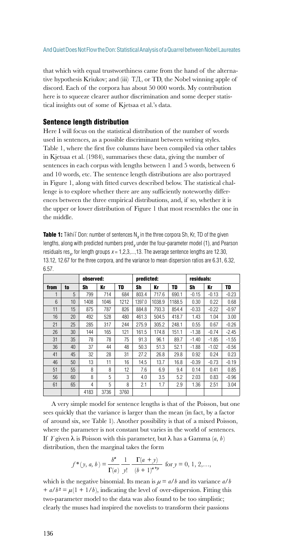that which with equal trustworthiness came from the hand of the alternative hypothesis Kriukov; and (iii) ТД, or TD, the Nobel winning apple of discord. Each of the corpora has about 50 000 words. My contribution here is to squeeze clearer author discrimination and some deeper statistical insights out of some of Kjetsaa et al.'s data.

## Sentence length distribution

Here I will focus on the statistical distribution of the number of words used in sentences, as a possible discriminant between writing styles. Table 1, where the first five columns have been compiled via other tables in Kjetsaa et al. (1984), summarises these data, giving the number of sentences in each corpus with lengths between 1 and 5 words, between 6 and 10 words, etc. The sentence length distributions are also portrayed in Figure 1, along with fitted curves described below. The statistical challenge is to explore whether there are any sufficiently noteworthy differences between the three empirical distributions, and, if so, whether it is the upper or lower distribution of Figure 1 that most resembles the one in the middle.

| <b>Table 1:</b> Tikhii Don: number of sentences $N_{v}$ in the three corpora Sh, Kr, TD of the given               |
|--------------------------------------------------------------------------------------------------------------------|
| lengths, along with predicted numbers pred, under the four-parameter model (1), and Pearson                        |
| residuals res <sub>y</sub> , for length groups $x = 1, 2, 3, \ldots, 13$ . The average sentence lengths are 12.30, |
| 13.12, 12.67 for the three corpora, and the variance to mean dispersion ratios are 6.31, 6.32,                     |
| 6.57.                                                                                                              |

|                 |    | observed: |      |      | predicted: |        |        | residuals: |         |         |
|-----------------|----|-----------|------|------|------------|--------|--------|------------|---------|---------|
| from            | to | Sh        | Kr   | TD   | Sh         | Kr     | TD     | Sh         | Kr      | TD      |
| 1               | 5  | 799       | 714  | 684  | 803.4      | 717.6  | 690.1  | $-0.15$    | $-0.13$ | $-0.23$ |
| $6\overline{6}$ | 10 | 1408      | 1046 | 1212 | 1397.0     | 1038.9 | 1188.5 | 0.30       | 0.22    | 0.68    |
| 11              | 15 | 875       | 787  | 826  | 884.8      | 793.3  | 854.4  | $-0.33$    | $-0.22$ | $-0.97$ |
| 16              | 20 | 492       | 528  | 480  | 461.3      | 504.5  | 418.7  | 1.43       | 1.04    | 3.00    |
| 21              | 25 | 285       | 317  | 244  | 275.9      | 305.2  | 248.1  | 0.55       | 0.67    | $-0.26$ |
| 26              | 30 | 144       | 165  | 121  | 161.5      | 174.8  | 151.1  | $-1.38$    | $-0.74$ | $-2.45$ |
| 31              | 35 | 78        | 78   | 75   | 91.3       | 96.1   | 89.7   | $-1.40$    | $-1.85$ | $-1.55$ |
| 36              | 40 | 37        | 44   | 48   | 50.3       | 51.3   | 52.1   | $-1.88$    | $-1.02$ | $-0.56$ |
| 41              | 45 | 32        | 28   | 31   | 27.2       | 26.8   | 29.8   | 0.92       | 0.24    | 0.23    |
| 46              | 50 | 13        | 11   | 16   | 14.5       | 13.7   | 16.8   | $-0.39$    | $-0.73$ | $-0.19$ |
| 51              | 55 | 8         | 8    | 12   | 7.6        | 6.9    | 9.4    | 0.14       | 0.41    | 0.85    |
| 56              | 60 | 8         | 5    | 3    | 4.0        | 3.5    | 5.2    | 2.03       | 0.83    | $-0.96$ |
| 61              | 65 | 4         | 5    | 8    | 2.1        | 1.7    | 2.9    | 1.36       | 2.51    | 3.04    |
|                 |    | 4183      | 3736 | 3760 |            |        |        |            |         |         |

 A very simple model for sentence lengths is that of the Poisson, but one sees quickly that the variance is larger than the mean (in fact, by a factor of around six, see Table 1). Another possibility is that of a mixed Poisson, where the parameter is not constant but varies in the world of sentences. If *Y* given  $\lambda$  is Poisson with this parameter, but  $\lambda$  has a Gamma  $(a, b)$ distribution, then the marginal takes the form

$$
f^*(y, a, b) = \frac{b^a}{\Gamma(a)} \frac{1}{y!} \frac{\Gamma(a+y)}{(b+1)^{a+y}} \text{ for } y = 0, 1, 2, \dots,
$$

which is the negative binomial. Its mean is  $\mu = a/b$  and its variance  $a/b$  $+ a/b^2 = \mu(1 + 1/b)$ , indicating the level of over-dispersion. Fitting this two-parameter model to the data was also found to be too simplistic; clearly the muses had inspired the novelists to transform their passions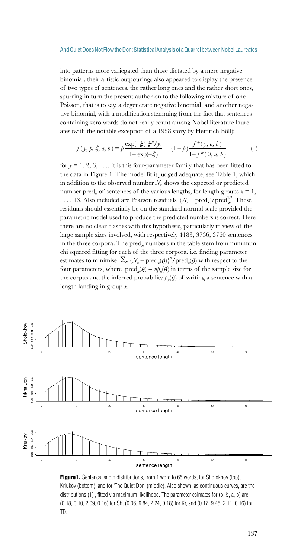into patterns more variegated than those dictated by a mere negative binomial, their artistic outpourings also appeared to display the presence of two types of sentences, the rather long ones and the rather short ones, spurring in turn the present author on to the following mixture of one Poisson, that is to say, a degenerate negative binomial, and another negative binomial, with a modification stemming from the fact that sentences containing zero words do not really count among Nobel literature laureates (with the notable exception of a 1958 story by Heinrich Böll):

$$
f(y, p, \xi, a, b) = p \frac{\exp(-\xi) \xi^{y} / y!}{1 - \exp(-\xi)} + (1 - p) \frac{f^{*}(y, a, b)}{1 - f^{*}(0, a, b)}
$$
(1)

for  $y = 1, 2, 3, \ldots$  It is this four-parameter family that has been fitted to the data in Figure 1. The model fit is judged adequate, see Table 1, which in addition to the observed number  $N_x$  shows the expected or predicted number pred<sub>*x*</sub> of sentences of the various lengths, for length groups  $x = 1$ , ..., 13. Also included are Pearson residuals  $(N_x - pred_x)/pred_x^{1/2}$ . These residuals should essentially be on the standard normal scale provided the parametric model used to produce the predicted numbers is correct. Here there are no clear clashes with this hypothesis, particularly in view of the large sample sizes involved, with respectively 4183, 3736, 3760 sentences in the three corpora. The pred<sub>x</sub> numbers in the table stem from minimum chi squared fitting for each of the three corpora, i.e. finding parameter estimates to minimise  $\sum_{x} {\{\mathcal{N}_x - \text{pred}_x(\theta)\}}^2/\text{pred}_x(\theta)$  with respect to the four parameters, where  $\text{pred}_x(\theta) = n p_x(\theta)$  in terms of the sample size for the corpus and the inferred probability  $p_{\mathbf{x}}(\theta)$  of writing a sentence with a length landing in group *x*.



**Figure1.** Sentence length distributions, from 1 word to 65 words, for Sholokhov (top), Kriukov (bottom), and for 'The Quiet Don' (middle). Also shown, as continuous curves, are the distributions (1), fitted via maximum likelihood. The parameter esimates for (p,  $\xi$ , a, b) are (0.18, 0.10, 2.09, 0.16) for Sh, (0.06, 9.84, 2.24, 0.18) for Kr, and (0.17, 9.45, 2.11, 0.16) for TD.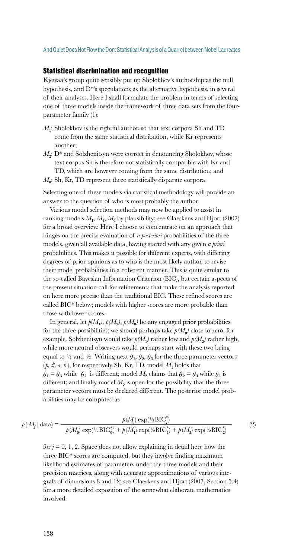### Statistical discrimination and recognition

Kjetsaa's group quite sensibly put up Sholokhov's authorship as the null hypothesis, and D\*'s speculations as the alternative hypothesis, in several of their analyses. Here I shall formulate the problem in terms of selecting one of three models inside the framework of three data sets from the fourparameter family (1):

- *M***1**: Sholokhov is the rightful author, so that text corpora Sh and TD come from the same statistical distribution, while Kr represents another;
- $M_2$ : D<sup>\*</sup> and Solzhenitsyn were correct in denouncing Sholokhov, whose text corpus Sh is therefore not statistically compatible with Kr and TD, which are however coming from the same distribution; and  $M<sub>0</sub>$ : Sh, Kr, TD represent three statistically disparate corpora.

Selecting one of these models via statistical methodology will provide an answer to the question of who is most probably the author.

Various model selection methods may now be applied to assist in ranking models  $M_1$ ,  $M_2$ ,  $M_0$  by plausibility; see Claeskens and Hjort (2007) for a broad overview. Here I choose to concentrate on an approach that hinges on the precise evaluation of *a posteriori* probabilities of the three models, given all available data, having started with any given *a priori* probabilities. This makes it possible for different experts, with differing degrees of prior opinions as to who is the most likely author, to revise their model probabilities in a coherent manner. This is quite similar to the so-called Bayesian Information Criterion (BIC), but certain aspects of the present situation call for refinements that make the analysis reported on here more precise than the traditional BIC. These refined scores are called BIC\* below; models with higher scores are more probable than those with lower scores.

In general, let  $p(M_1)$ ,  $p(M_2)$ ,  $p(M_0)$  be any engaged prior probabilities for the three possibilities; we should perhaps take  $p(M_0)$  close to zero, for example. Solzhenitsyn would take  $p(M_t)$  rather low and  $p(M_t)$  rather high, while more neutral observers would perhaps start with these two being equal to  $\frac{1}{2}$  and  $\frac{1}{2}$ . Writing next  $\theta_1$ ,  $\theta_2$ ,  $\theta_3$  for the three parameter vectors  $(p, \xi, a, b)$ , for respectively Sh, Kr, TD, model  $M_1$  holds that  $\theta_1 = \theta_3$  while  $\theta_2$  is different; model  $M_2$  claims that  $\theta_2 = \theta_3$  while  $\theta_1$  is different; and finally model  $M_0$  is open for the possibility that the three parameter vectors must be declared different. The posterior model probabilities may be computed as

$$
p(M_j \mid \text{data}) = \frac{p(M_j) \exp(\frac{1}{2} \text{BIC}_j^*)}{p(M_0) \exp(\frac{1}{2} \text{BIC}_0^*) + p(M_1) \exp(\frac{1}{2} \text{BIC}_1^*) + p(M_2) \exp(\frac{1}{2} \text{BIC}_2^*)}
$$
(2)

for  $j = 0, 1, 2$ . Space does not allow explaining in detail here how the three BIC\* scores are computed, but they involve finding maximum likelihood estimates of parameters under the three models and their precision matrices, along with accurate approximations of various integrals of dimensions 8 and 12; see Claeskens and Hjort (2007, Section 5.4) for a more detailed exposition of the somewhat elaborate mathematics involved.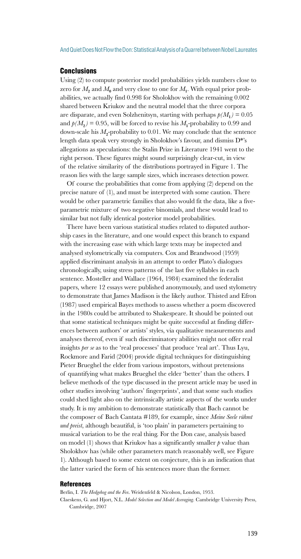## **Conclusions**

Using (2) to compute posterior model probabilities yields numbers close to zero for  $M_2$  and  $M_0$  and very close to one for  $M_1$ . With equal prior probabilities, we actually find 0.998 for Sholokhov with the remaining 0.002 shared between Kriukov and the neutral model that the three corpora are disparate, and even Solzhenitsyn, starting with perhaps  $p(M_1) = 0.05$ and  $p(M<sub>2</sub>) = 0.95$ , will be forced to revise his  $M<sub>1</sub>$ -probability to 0.99 and down-scale his  $M_2$ -probability to 0.01. We may conclude that the sentence length data speak very strongly in Sholokhov's favour, and dismiss D\*'s allegations as speculations: the Stalin Prize in Literature 1941 went to the right person. These figures might sound surprisingly clear-cut, in view of the relative similarity of the distributions portrayed in Figure 1. The reason lies with the large sample sizes, which increases detection power.

Of course the probabilities that come from applying (2) depend on the precise nature of (1), and must be interpreted with some caution. There would be other parametric families that also would fit the data, like a fiveparametric mixture of two negative binomials, and these would lead to similar but not fully identical posterior model probabilities.

There have been various statistical studies related to disputed authorship cases in the literature, and one would expect this branch to expand with the increasing ease with which large texts may be inspected and analysed stylometrically via computers. Cox and Brandwood (1959) applied discriminant analysis in an attempt to order Plato's dialogues chronologically, using stress patterns of the last five syllables in each sentence. Mosteller and Wallace (1964, 1984) examined the federalist papers, where 12 essays were published anonymously, and used stylometry to demonstrate that James Madison is the likely author. Thisted and Efron (1987) used empirical Bayes methods to assess whether a poem discovered in the 1980s could be attributed to Shakespeare. It should be pointed out that some statistical techniques might be quite successful at finding differences between authors' or artists' styles, via qualitative measurements and analyses thereof, even if such discriminatory abilities might not offer real insights *per se* as to the 'real processes' that produce 'real art'. Thus Lyu, Rockmore and Farid (2004) provide digital techniques for distinguishing Pieter Brueghel the elder from various impostors, without pretensions of quantifying what makes Brueghel the elder 'better' than the others. I believe methods of the type discussed in the present article may be used in other studies involving 'authors' fingerprints', and that some such studies could shed light also on the intrinsically artistic aspects of the works under study. It is my ambition to demonstrate statistically that Bach cannot be the composer of Bach Cantata #189, for example, since *Meine Seele rühmt und preist*, although beautiful, is 'too plain' in parameters pertaining to musical variation to be the real thing. For the Don case, analysis based on model (1) shows that Kriukov has a significantly smaller  *value than* Sholokhov has (while other parameters match reasonably well, see Figure 1). Although based to some extent on conjecture, this is an indication that the latter varied the form of his sentences more than the former.

#### **References**

Berlin, I. *The Hedgehog and the Fox*. Weidenfeld & Nicolson, London, 1953.

Claeskens, G. and Hjort, N.L. *Model Selection and Model Averaging*. Cambridge University Press, Cambridge, 2007